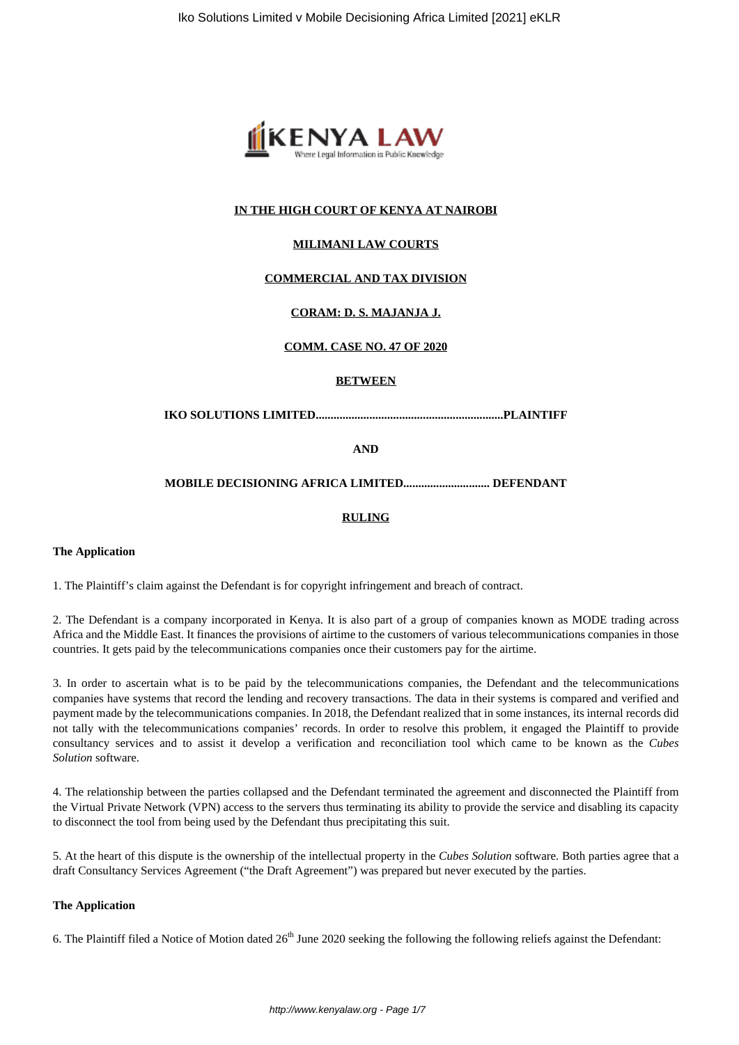

## **IN THE HIGH COURT OF KENYA AT NAIROBI**

## **MILIMANI LAW COURTS**

## **COMMERCIAL AND TAX DIVISION**

# **CORAM: D. S. MAJANJA J.**

## **COMM. CASE NO. 47 OF 2020**

#### **BETWEEN**

## **IKO SOLUTIONS LIMITED...............................................................PLAINTIFF**

#### **AND**

## **MOBILE DECISIONING AFRICA LIMITED............................. DEFENDANT**

#### **RULING**

#### **The Application**

1. The Plaintiff's claim against the Defendant is for copyright infringement and breach of contract.

2. The Defendant is a company incorporated in Kenya. It is also part of a group of companies known as MODE trading across Africa and the Middle East. It finances the provisions of airtime to the customers of various telecommunications companies in those countries. It gets paid by the telecommunications companies once their customers pay for the airtime.

3. In order to ascertain what is to be paid by the telecommunications companies, the Defendant and the telecommunications companies have systems that record the lending and recovery transactions. The data in their systems is compared and verified and payment made by the telecommunications companies. In 2018, the Defendant realized that in some instances, its internal records did not tally with the telecommunications companies' records. In order to resolve this problem, it engaged the Plaintiff to provide consultancy services and to assist it develop a verification and reconciliation tool which came to be known as the *Cubes Solution* software.

4. The relationship between the parties collapsed and the Defendant terminated the agreement and disconnected the Plaintiff from the Virtual Private Network (VPN) access to the servers thus terminating its ability to provide the service and disabling its capacity to disconnect the tool from being used by the Defendant thus precipitating this suit.

5. At the heart of this dispute is the ownership of the intellectual property in the *Cubes Solution* software. Both parties agree that a draft Consultancy Services Agreement ("the Draft Agreement") was prepared but never executed by the parties.

#### **The Application**

6. The Plaintiff filed a Notice of Motion dated  $26<sup>th</sup>$  June 2020 seeking the following the following reliefs against the Defendant: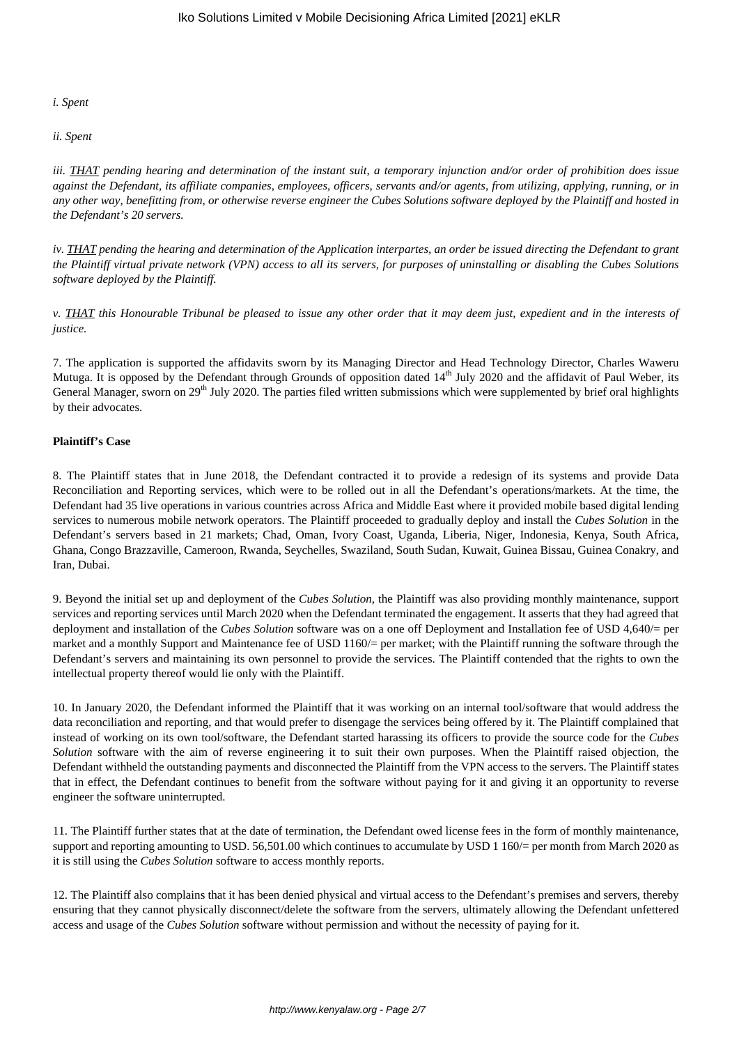#### *i. Spent*

#### *ii. Spent*

*iii. THAT pending hearing and determination of the instant suit, a temporary injunction and/or order of prohibition does issue against the Defendant, its affiliate companies, employees, officers, servants and/or agents, from utilizing, applying, running, or in any other way, benefitting from, or otherwise reverse engineer the Cubes Solutions software deployed by the Plaintiff and hosted in the Defendant's 20 servers.*

*iv. THAT pending the hearing and determination of the Application interpartes, an order be issued directing the Defendant to grant the Plaintiff virtual private network (VPN) access to all its servers, for purposes of uninstalling or disabling the Cubes Solutions software deployed by the Plaintiff.*

*v. THAT this Honourable Tribunal be pleased to issue any other order that it may deem just, expedient and in the interests of justice.*

7. The application is supported the affidavits sworn by its Managing Director and Head Technology Director, Charles Waweru Mutuga. It is opposed by the Defendant through Grounds of opposition dated  $14<sup>th</sup>$  July 2020 and the affidavit of Paul Weber, its General Manager, sworn on 29<sup>th</sup> July 2020. The parties filed written submissions which were supplemented by brief oral highlights by their advocates.

## **Plaintiff's Case**

8. The Plaintiff states that in June 2018, the Defendant contracted it to provide a redesign of its systems and provide Data Reconciliation and Reporting services, which were to be rolled out in all the Defendant's operations/markets. At the time, the Defendant had 35 live operations in various countries across Africa and Middle East where it provided mobile based digital lending services to numerous mobile network operators. The Plaintiff proceeded to gradually deploy and install the *Cubes Solution* in the Defendant's servers based in 21 markets; Chad, Oman, Ivory Coast, Uganda, Liberia, Niger, Indonesia, Kenya, South Africa, Ghana, Congo Brazzaville, Cameroon, Rwanda, Seychelles, Swaziland, South Sudan, Kuwait, Guinea Bissau, Guinea Conakry, and Iran, Dubai.

9. Beyond the initial set up and deployment of the *Cubes Solution*, the Plaintiff was also providing monthly maintenance, support services and reporting services until March 2020 when the Defendant terminated the engagement. It asserts that they had agreed that deployment and installation of the *Cubes Solution* software was on a one off Deployment and Installation fee of USD 4,640/= per market and a monthly Support and Maintenance fee of USD 1160/= per market; with the Plaintiff running the software through the Defendant's servers and maintaining its own personnel to provide the services. The Plaintiff contended that the rights to own the intellectual property thereof would lie only with the Plaintiff.

10. In January 2020, the Defendant informed the Plaintiff that it was working on an internal tool/software that would address the data reconciliation and reporting, and that would prefer to disengage the services being offered by it. The Plaintiff complained that instead of working on its own tool/software, the Defendant started harassing its officers to provide the source code for the *Cubes Solution* software with the aim of reverse engineering it to suit their own purposes. When the Plaintiff raised objection, the Defendant withheld the outstanding payments and disconnected the Plaintiff from the VPN access to the servers. The Plaintiff states that in effect, the Defendant continues to benefit from the software without paying for it and giving it an opportunity to reverse engineer the software uninterrupted.

11. The Plaintiff further states that at the date of termination, the Defendant owed license fees in the form of monthly maintenance, support and reporting amounting to USD. 56,501.00 which continues to accumulate by USD 1 160/= per month from March 2020 as it is still using the *Cubes Solution* software to access monthly reports.

12. The Plaintiff also complains that it has been denied physical and virtual access to the Defendant's premises and servers, thereby ensuring that they cannot physically disconnect/delete the software from the servers, ultimately allowing the Defendant unfettered access and usage of the *Cubes Solution* software without permission and without the necessity of paying for it.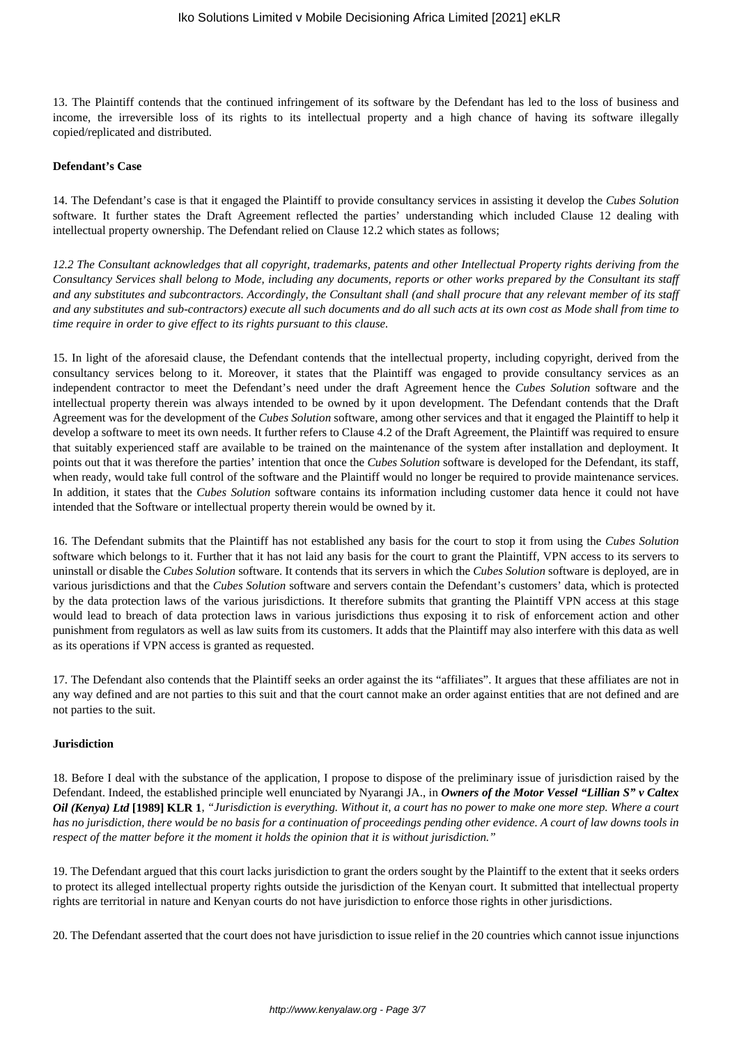13. The Plaintiff contends that the continued infringement of its software by the Defendant has led to the loss of business and income, the irreversible loss of its rights to its intellectual property and a high chance of having its software illegally copied/replicated and distributed.

#### **Defendant's Case**

14. The Defendant's case is that it engaged the Plaintiff to provide consultancy services in assisting it develop the *Cubes Solution* software. It further states the Draft Agreement reflected the parties' understanding which included Clause 12 dealing with intellectual property ownership. The Defendant relied on Clause 12.2 which states as follows;

*12.2 The Consultant acknowledges that all copyright, trademarks, patents and other Intellectual Property rights deriving from the Consultancy Services shall belong to Mode, including any documents, reports or other works prepared by the Consultant its staff and any substitutes and subcontractors. Accordingly, the Consultant shall (and shall procure that any relevant member of its staff and any substitutes and sub-contractors) execute all such documents and do all such acts at its own cost as Mode shall from time to time require in order to give effect to its rights pursuant to this clause.*

15. In light of the aforesaid clause, the Defendant contends that the intellectual property, including copyright, derived from the consultancy services belong to it. Moreover, it states that the Plaintiff was engaged to provide consultancy services as an independent contractor to meet the Defendant's need under the draft Agreement hence the *Cubes Solution* software and the intellectual property therein was always intended to be owned by it upon development. The Defendant contends that the Draft Agreement was for the development of the *Cubes Solution* software, among other services and that it engaged the Plaintiff to help it develop a software to meet its own needs. It further refers to Clause 4.2 of the Draft Agreement, the Plaintiff was required to ensure that suitably experienced staff are available to be trained on the maintenance of the system after installation and deployment. It points out that it was therefore the parties' intention that once the *Cubes Solution* software is developed for the Defendant, its staff, when ready, would take full control of the software and the Plaintiff would no longer be required to provide maintenance services. In addition, it states that the *Cubes Solution* software contains its information including customer data hence it could not have intended that the Software or intellectual property therein would be owned by it.

16. The Defendant submits that the Plaintiff has not established any basis for the court to stop it from using the *Cubes Solution* software which belongs to it. Further that it has not laid any basis for the court to grant the Plaintiff, VPN access to its servers to uninstall or disable the *Cubes Solution* software. It contends that its servers in which the *Cubes Solution* software is deployed, are in various jurisdictions and that the *Cubes Solution* software and servers contain the Defendant's customers' data, which is protected by the data protection laws of the various jurisdictions. It therefore submits that granting the Plaintiff VPN access at this stage would lead to breach of data protection laws in various jurisdictions thus exposing it to risk of enforcement action and other punishment from regulators as well as law suits from its customers. It adds that the Plaintiff may also interfere with this data as well as its operations if VPN access is granted as requested.

17. The Defendant also contends that the Plaintiff seeks an order against the its "affiliates". It argues that these affiliates are not in any way defined and are not parties to this suit and that the court cannot make an order against entities that are not defined and are not parties to the suit.

#### **Jurisdiction**

18. Before I deal with the substance of the application, I propose to dispose of the preliminary issue of jurisdiction raised by the Defendant. Indeed, the established principle well enunciated by Nyarangi JA., in *Owners of the Motor Vessel "Lillian S" v Caltex Oil (Kenya) Ltd* **[1989] KLR 1**, *"Jurisdiction is everything. Without it, a court has no power to make one more step. Where a court has no jurisdiction, there would be no basis for a continuation of proceedings pending other evidence. A court of law downs tools in respect of the matter before it the moment it holds the opinion that it is without jurisdiction."* 

19. The Defendant argued that this court lacks jurisdiction to grant the orders sought by the Plaintiff to the extent that it seeks orders to protect its alleged intellectual property rights outside the jurisdiction of the Kenyan court. It submitted that intellectual property rights are territorial in nature and Kenyan courts do not have jurisdiction to enforce those rights in other jurisdictions.

20. The Defendant asserted that the court does not have jurisdiction to issue relief in the 20 countries which cannot issue injunctions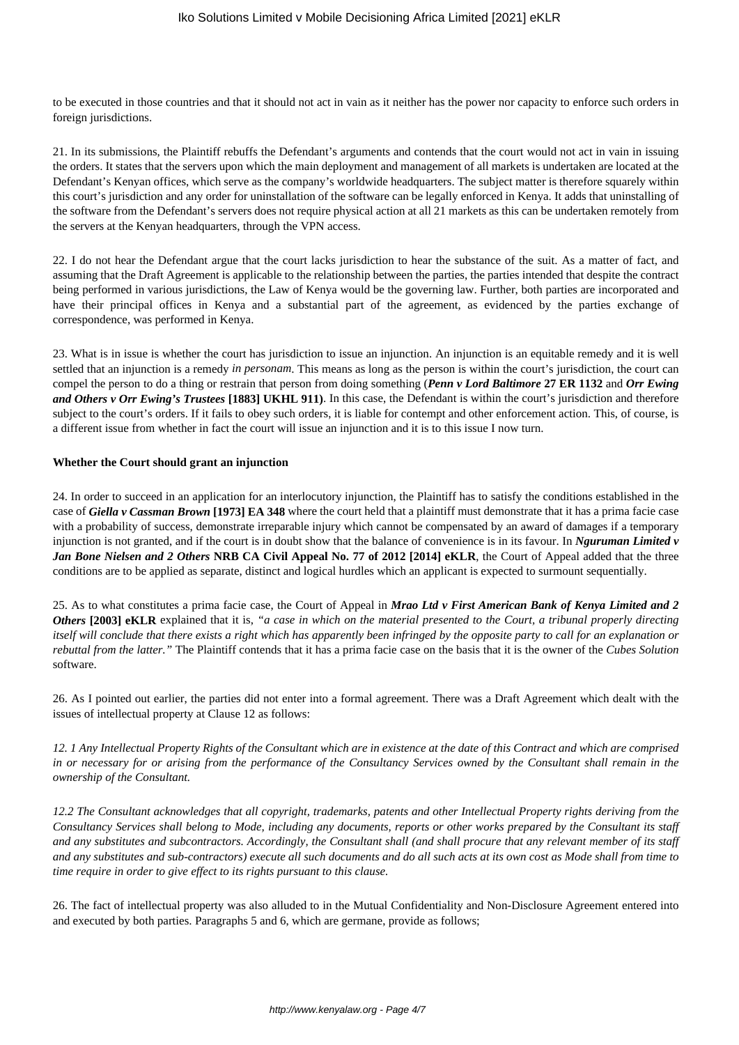to be executed in those countries and that it should not act in vain as it neither has the power nor capacity to enforce such orders in foreign jurisdictions.

21. In its submissions, the Plaintiff rebuffs the Defendant's arguments and contends that the court would not act in vain in issuing the orders. It states that the servers upon which the main deployment and management of all markets is undertaken are located at the Defendant's Kenyan offices, which serve as the company's worldwide headquarters. The subject matter is therefore squarely within this court's jurisdiction and any order for uninstallation of the software can be legally enforced in Kenya. It adds that uninstalling of the software from the Defendant's servers does not require physical action at all 21 markets as this can be undertaken remotely from the servers at the Kenyan headquarters, through the VPN access.

22. I do not hear the Defendant argue that the court lacks jurisdiction to hear the substance of the suit. As a matter of fact, and assuming that the Draft Agreement is applicable to the relationship between the parties, the parties intended that despite the contract being performed in various jurisdictions, the Law of Kenya would be the governing law. Further, both parties are incorporated and have their principal offices in Kenya and a substantial part of the agreement, as evidenced by the parties exchange of correspondence, was performed in Kenya.

23. What is in issue is whether the court has jurisdiction to issue an injunction. An injunction is an equitable remedy and it is well settled that an injunction is a remedy *in personam*. This means as long as the person is within the court's jurisdiction, the court can compel the person to do a thing or restrain that person from doing something (*Penn v Lord Baltimore* **27 ER 1132** and *Orr Ewing and Others v Orr Ewing's Trustees* **[1883] UKHL 911)**. In this case, the Defendant is within the court's jurisdiction and therefore subject to the court's orders. If it fails to obey such orders, it is liable for contempt and other enforcement action. This, of course, is a different issue from whether in fact the court will issue an injunction and it is to this issue I now turn.

#### **Whether the Court should grant an injunction**

24. In order to succeed in an application for an interlocutory injunction, the Plaintiff has to satisfy the conditions established in the case of *Giella v Cassman Brown* **[1973] EA 348** where the court held that a plaintiff must demonstrate that it has a prima facie case with a probability of success, demonstrate irreparable injury which cannot be compensated by an award of damages if a temporary injunction is not granted, and if the court is in doubt show that the balance of convenience is in its favour. In *Nguruman Limited v Jan Bone Nielsen and 2 Others* **NRB CA Civil Appeal No. 77 of 2012 [2014] eKLR**, the Court of Appeal added that the three conditions are to be applied as separate, distinct and logical hurdles which an applicant is expected to surmount sequentially.

25. As to what constitutes a prima facie case, the Court of Appeal in *Mrao Ltd v First American Bank of Kenya Limited and 2 Others* **[2003] eKLR** explained that it is, *"a case in which on the material presented to the Court, a tribunal properly directing itself will conclude that there exists a right which has apparently been infringed by the opposite party to call for an explanation or rebuttal from the latter."* The Plaintiff contends that it has a prima facie case on the basis that it is the owner of the *Cubes Solution* software.

26. As I pointed out earlier, the parties did not enter into a formal agreement. There was a Draft Agreement which dealt with the issues of intellectual property at Clause 12 as follows:

*12. 1 Any Intellectual Property Rights of the Consultant which are in existence at the date of this Contract and which are comprised in or necessary for or arising from the performance of the Consultancy Services owned by the Consultant shall remain in the ownership of the Consultant.*

*12.2 The Consultant acknowledges that all copyright, trademarks, patents and other Intellectual Property rights deriving from the Consultancy Services shall belong to Mode, including any documents, reports or other works prepared by the Consultant its staff and any substitutes and subcontractors. Accordingly, the Consultant shall (and shall procure that any relevant member of its staff and any substitutes and sub-contractors) execute all such documents and do all such acts at its own cost as Mode shall from time to time require in order to give effect to its rights pursuant to this clause.*

26. The fact of intellectual property was also alluded to in the Mutual Confidentiality and Non-Disclosure Agreement entered into and executed by both parties. Paragraphs 5 and 6, which are germane, provide as follows;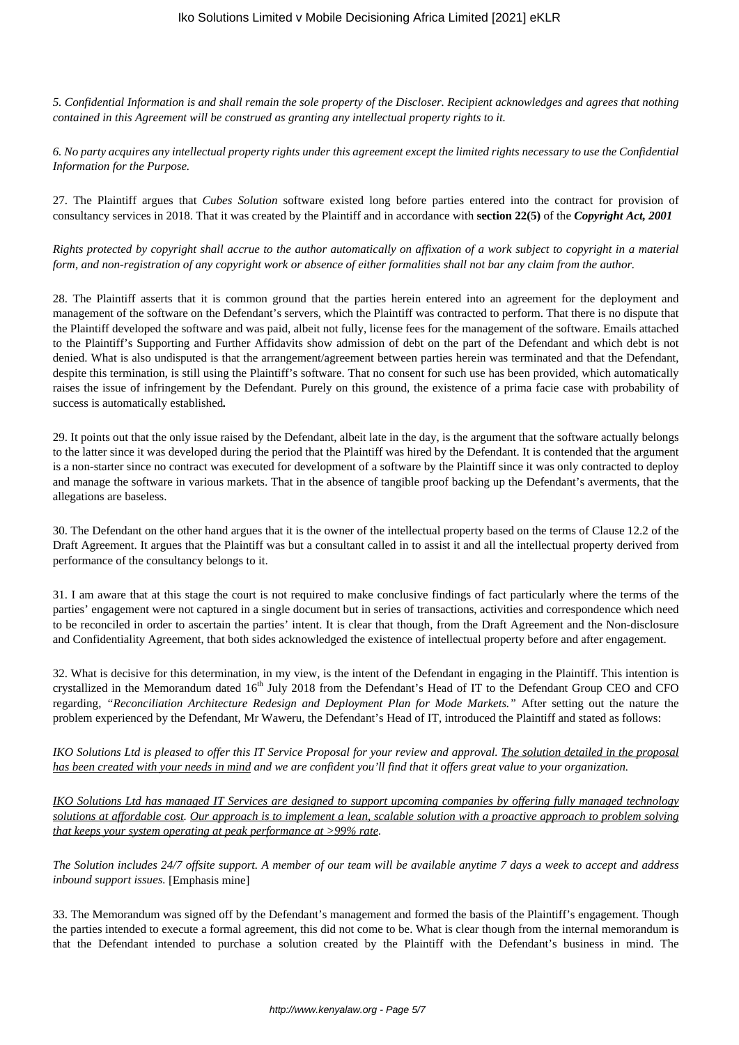*5. Confidential Information is and shall remain the sole property of the Discloser. Recipient acknowledges and agrees that nothing contained in this Agreement will be construed as granting any intellectual property rights to it.* 

*6. No party acquires any intellectual property rights under this agreement except the limited rights necessary to use the Confidential Information for the Purpose.* 

27. The Plaintiff argues that *Cubes Solution* software existed long before parties entered into the contract for provision of consultancy services in 2018. That it was created by the Plaintiff and in accordance with **section 22(5)** of the *Copyright Act, 2001*

*Rights protected by copyright shall accrue to the author automatically on affixation of a work subject to copyright in a material form, and non-registration of any copyright work or absence of either formalities shall not bar any claim from the author.*

28. The Plaintiff asserts that it is common ground that the parties herein entered into an agreement for the deployment and management of the software on the Defendant's servers, which the Plaintiff was contracted to perform. That there is no dispute that the Plaintiff developed the software and was paid, albeit not fully, license fees for the management of the software. Emails attached to the Plaintiff's Supporting and Further Affidavits show admission of debt on the part of the Defendant and which debt is not denied. What is also undisputed is that the arrangement/agreement between parties herein was terminated and that the Defendant, despite this termination, is still using the Plaintiff's software. That no consent for such use has been provided, which automatically raises the issue of infringement by the Defendant. Purely on this ground, the existence of a prima facie case with probability of success is automatically established*.*

29. It points out that the only issue raised by the Defendant, albeit late in the day, is the argument that the software actually belongs to the latter since it was developed during the period that the Plaintiff was hired by the Defendant. It is contended that the argument is a non-starter since no contract was executed for development of a software by the Plaintiff since it was only contracted to deploy and manage the software in various markets. That in the absence of tangible proof backing up the Defendant's averments, that the allegations are baseless.

30. The Defendant on the other hand argues that it is the owner of the intellectual property based on the terms of Clause 12.2 of the Draft Agreement. It argues that the Plaintiff was but a consultant called in to assist it and all the intellectual property derived from performance of the consultancy belongs to it.

31. I am aware that at this stage the court is not required to make conclusive findings of fact particularly where the terms of the parties' engagement were not captured in a single document but in series of transactions, activities and correspondence which need to be reconciled in order to ascertain the parties' intent. It is clear that though, from the Draft Agreement and the Non-disclosure and Confidentiality Agreement, that both sides acknowledged the existence of intellectual property before and after engagement.

32. What is decisive for this determination, in my view, is the intent of the Defendant in engaging in the Plaintiff. This intention is crystallized in the Memorandum dated 16<sup>th</sup> July 2018 from the Defendant's Head of IT to the Defendant Group CEO and CFO regarding, *"Reconciliation Architecture Redesign and Deployment Plan for Mode Markets."* After setting out the nature the problem experienced by the Defendant, Mr Waweru, the Defendant's Head of IT, introduced the Plaintiff and stated as follows:

*IKO Solutions Ltd is pleased to offer this IT Service Proposal for your review and approval. The solution detailed in the proposal has been created with your needs in mind and we are confident you'll find that it offers great value to your organization.*

*IKO Solutions Ltd has managed IT Services are designed to support upcoming companies by offering fully managed technology solutions at affordable cost. Our approach is to implement a lean, scalable solution with a proactive approach to problem solving that keeps your system operating at peak performance at >99% rate.*

*The Solution includes 24/7 offsite support. A member of our team will be available anytime 7 days a week to accept and address inbound support issues.* [Emphasis mine]

33. The Memorandum was signed off by the Defendant's management and formed the basis of the Plaintiff's engagement. Though the parties intended to execute a formal agreement, this did not come to be. What is clear though from the internal memorandum is that the Defendant intended to purchase a solution created by the Plaintiff with the Defendant's business in mind. The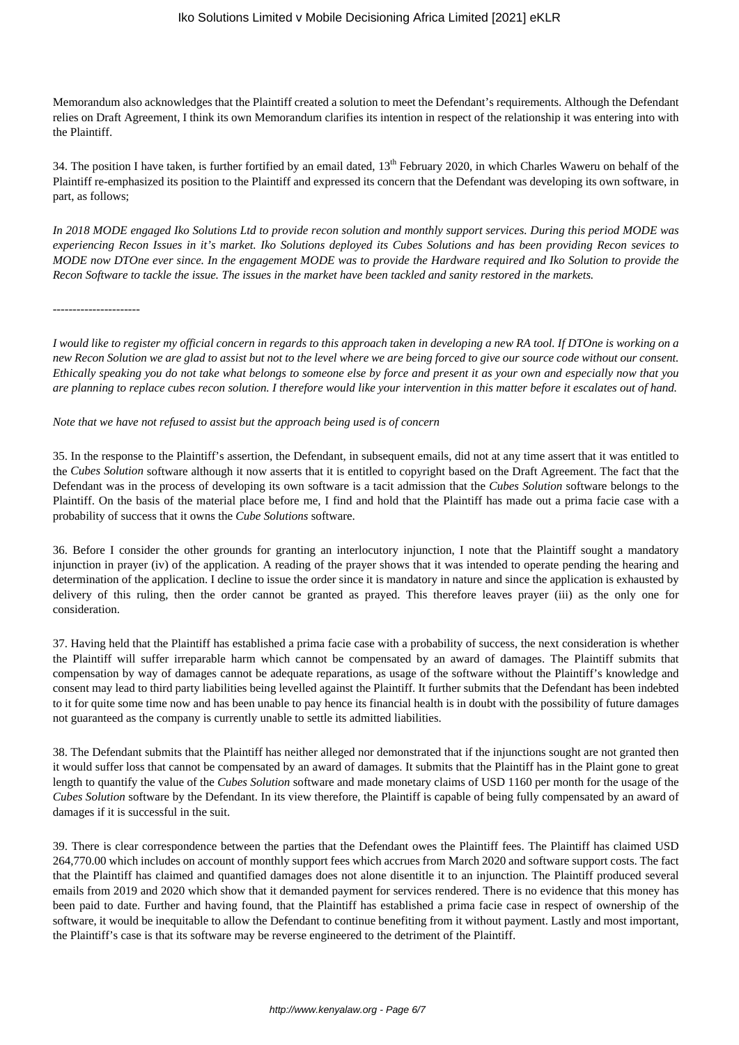Memorandum also acknowledges that the Plaintiff created a solution to meet the Defendant's requirements. Although the Defendant relies on Draft Agreement, I think its own Memorandum clarifies its intention in respect of the relationship it was entering into with the Plaintiff.

34. The position I have taken, is further fortified by an email dated, 13<sup>th</sup> February 2020, in which Charles Waweru on behalf of the Plaintiff re-emphasized its position to the Plaintiff and expressed its concern that the Defendant was developing its own software, in part, as follows;

*In 2018 MODE engaged Iko Solutions Ltd to provide recon solution and monthly support services. During this period MODE was experiencing Recon Issues in it's market. Iko Solutions deployed its Cubes Solutions and has been providing Recon sevices to MODE now DTOne ever since. In the engagement MODE was to provide the Hardware required and Iko Solution to provide the Recon Software to tackle the issue. The issues in the market have been tackled and sanity restored in the markets.* 

*----------------------*

*I would like to register my official concern in regards to this approach taken in developing a new RA tool. If DTOne is working on a new Recon Solution we are glad to assist but not to the level where we are being forced to give our source code without our consent. Ethically speaking you do not take what belongs to someone else by force and present it as your own and especially now that you are planning to replace cubes recon solution. I therefore would like your intervention in this matter before it escalates out of hand.*

*Note that we have not refused to assist but the approach being used is of concern*

35. In the response to the Plaintiff's assertion, the Defendant, in subsequent emails, did not at any time assert that it was entitled to the *Cubes Solution* software although it now asserts that it is entitled to copyright based on the Draft Agreement. The fact that the Defendant was in the process of developing its own software is a tacit admission that the *Cubes Solution* software belongs to the Plaintiff. On the basis of the material place before me, I find and hold that the Plaintiff has made out a prima facie case with a probability of success that it owns the *Cube Solutions* software.

36. Before I consider the other grounds for granting an interlocutory injunction, I note that the Plaintiff sought a mandatory injunction in prayer (iv) of the application. A reading of the prayer shows that it was intended to operate pending the hearing and determination of the application. I decline to issue the order since it is mandatory in nature and since the application is exhausted by delivery of this ruling, then the order cannot be granted as prayed. This therefore leaves prayer (iii) as the only one for consideration.

37. Having held that the Plaintiff has established a prima facie case with a probability of success, the next consideration is whether the Plaintiff will suffer irreparable harm which cannot be compensated by an award of damages. The Plaintiff submits that compensation by way of damages cannot be adequate reparations, as usage of the software without the Plaintiff's knowledge and consent may lead to third party liabilities being levelled against the Plaintiff. It further submits that the Defendant has been indebted to it for quite some time now and has been unable to pay hence its financial health is in doubt with the possibility of future damages not guaranteed as the company is currently unable to settle its admitted liabilities.

38. The Defendant submits that the Plaintiff has neither alleged nor demonstrated that if the injunctions sought are not granted then it would suffer loss that cannot be compensated by an award of damages. It submits that the Plaintiff has in the Plaint gone to great length to quantify the value of the *Cubes Solution* software and made monetary claims of USD 1160 per month for the usage of the *Cubes Solution* software by the Defendant. In its view therefore, the Plaintiff is capable of being fully compensated by an award of damages if it is successful in the suit.

39. There is clear correspondence between the parties that the Defendant owes the Plaintiff fees. The Plaintiff has claimed USD 264,770.00 which includes on account of monthly support fees which accrues from March 2020 and software support costs. The fact that the Plaintiff has claimed and quantified damages does not alone disentitle it to an injunction. The Plaintiff produced several emails from 2019 and 2020 which show that it demanded payment for services rendered. There is no evidence that this money has been paid to date. Further and having found, that the Plaintiff has established a prima facie case in respect of ownership of the software, it would be inequitable to allow the Defendant to continue benefiting from it without payment. Lastly and most important, the Plaintiff's case is that its software may be reverse engineered to the detriment of the Plaintiff.